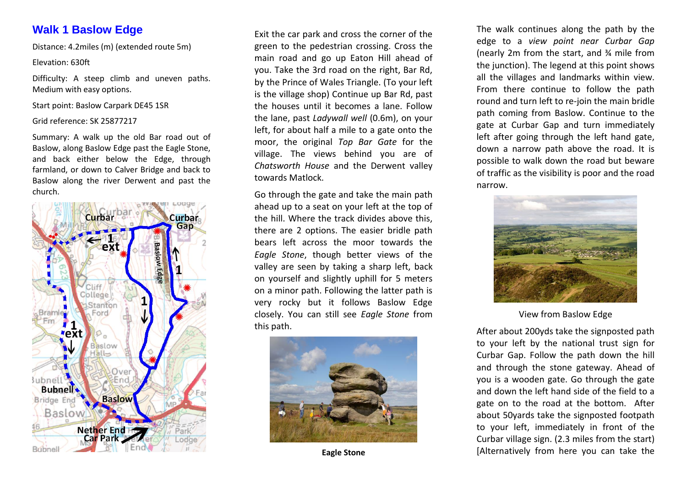# **Walk 1 Baslow Edge**

Distance: 4.2miles (m) (extended route 5m)

# Elevation: 630ft

Difficulty: A steep climb and uneven paths. Medium with easy options.

Start point: Baslow Carpark DE45 1SR

Grid reference: SK 25877217

Summary: A walk up the old Bar road out of Baslow, along Baslow Edge past the Eagle Stone, and back either below the Edge, through farmland, or down to Calver Bridge and back to Baslow along the river Derwent and past the church.



Exit the car park and cross the corner of the green to the pedestrian crossing. Cross the main road and go up Eaton Hill ahead of you. Take the 3rd road on the right, Bar Rd, by the Prince of Wales Triangle. (To your left is the village shop) Continue up Bar Rd, past the houses until it becomes a lane. Follow the lane, past *Ladywall well* (0.6m), on your left, for about half a mile to a gate onto the moor, the original *Top Bar Gate* for the village. The views behind you are of *Chatsworth House* and the Derwent valley towards Matlock.

Go through the gate and take the main path ahead up to a seat on your left at the top of the hill. Where the track divides above this, there are 2 options. The easier bridle path bears left across the moor towards the *Eagle Stone*, though better views of the valley are seen by taking a sharp left, back on yourself and slightly uphill for 5 meters on a minor path. Following the latter path is very rocky but it follows Baslow Edge closely. You can still see *Eagle Stone* from this path.



**Eagle Stone**

The walk continues along the path by the edge to a *view point near Curbar Gap* (nearly 2m from the start, and ¾ mile from the junction). The legend at this point shows all the villages and landmarks within view. From there continue to follow the path round and turn left to re-join the main bridle path coming from Baslow. Continue to the gate at Curbar Gap and turn immediately left after going through the left hand gate, down a narrow path above the road. It is possible to walk down the road but beware of traffic as the visibility is poor and the road narrow.



View from Baslow Edge

After about 200yds take the signposted path to your left by the national trust sign for Curbar Gap. Follow the path down the hill and through the stone gateway. Ahead of you is a wooden gate. Go through the gate and down the left hand side of the field to a gate on to the road at the bottom. After about 50yards take the signposted footpath to your left, immediately in front of the Curbar village sign. (2.3 miles from the start) [Alternatively from here you can take the